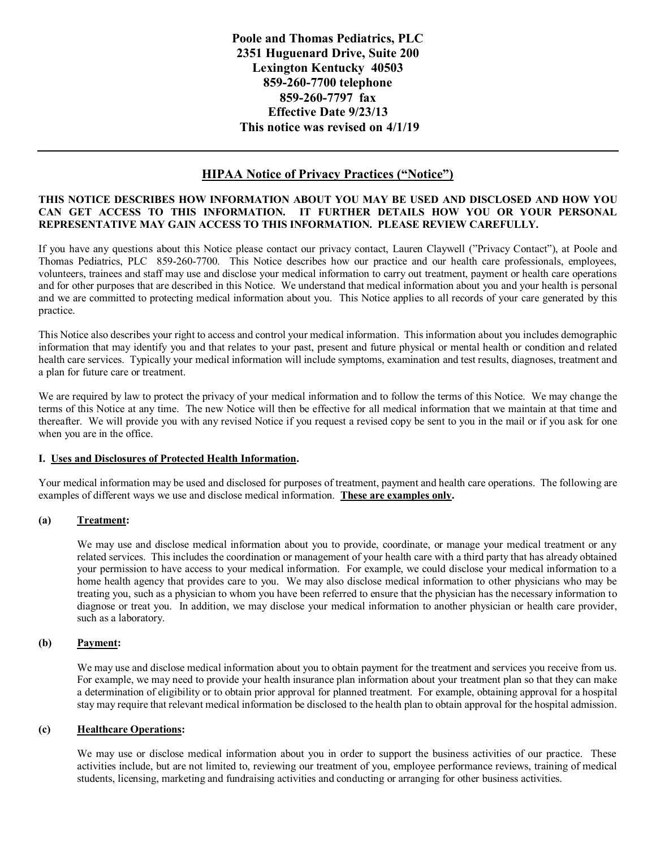**Poole and Thomas Pediatrics, PLC 2351 Huguenard Drive, Suite 200 Lexington Kentucky 40503 859-260-7700 telephone 859-260-7797 fax Effective Date 9/23/13 This notice was revised on 4/1/19**

# **HIPAA Notice of Privacy Practices ("Notice")**

### **THIS NOTICE DESCRIBES HOW INFORMATION ABOUT YOU MAY BE USED AND DISCLOSED AND HOW YOU CAN GET ACCESS TO THIS INFORMATION. IT FURTHER DETAILS HOW YOU OR YOUR PERSONAL REPRESENTATIVE MAY GAIN ACCESS TO THIS INFORMATION. PLEASE REVIEW CAREFULLY.**

If you have any questions about this Notice please contact our privacy contact, Lauren Claywell ("Privacy Contact"), at Poole and Thomas Pediatrics, PLC 859-260-7700. This Notice describes how our practice and our health care professionals, employees, volunteers, trainees and staff may use and disclose your medical information to carry out treatment, payment or health care operations and for other purposes that are described in this Notice. We understand that medical information about you and your health is personal and we are committed to protecting medical information about you. This Notice applies to all records of your care generated by this practice.

This Notice also describes your right to access and control your medical information. This information about you includes demographic information that may identify you and that relates to your past, present and future physical or mental health or condition and related health care services. Typically your medical information will include symptoms, examination and test results, diagnoses, treatment and a plan for future care or treatment.

We are required by law to protect the privacy of your medical information and to follow the terms of this Notice. We may change the terms of this Notice at any time. The new Notice will then be effective for all medical information that we maintain at that time and thereafter. We will provide you with any revised Notice if you request a revised copy be sent to you in the mail or if you ask for one when you are in the office.

# **I. Uses and Disclosures of Protected Health Information.**

Your medical information may be used and disclosed for purposes of treatment, payment and health care operations. The following are examples of different ways we use and disclose medical information. **These are examples only.**

# **(a) Treatment:**

We may use and disclose medical information about you to provide, coordinate, or manage your medical treatment or any related services. This includes the coordination or management of your health care with a third party that has already obtained your permission to have access to your medical information. For example, we could disclose your medical information to a home health agency that provides care to you. We may also disclose medical information to other physicians who may be treating you, such as a physician to whom you have been referred to ensure that the physician has the necessary information to diagnose or treat you. In addition, we may disclose your medical information to another physician or health care provider, such as a laboratory.

# **(b) Payment:**

We may use and disclose medical information about you to obtain payment for the treatment and services you receive from us. For example, we may need to provide your health insurance plan information about your treatment plan so that they can make a determination of eligibility or to obtain prior approval for planned treatment. For example, obtaining approval for a hospital stay may require that relevant medical information be disclosed to the health plan to obtain approval for the hospital admission.

# **(c) Healthcare Operations:**

We may use or disclose medical information about you in order to support the business activities of our practice. These activities include, but are not limited to, reviewing our treatment of you, employee performance reviews, training of medical students, licensing, marketing and fundraising activities and conducting or arranging for other business activities.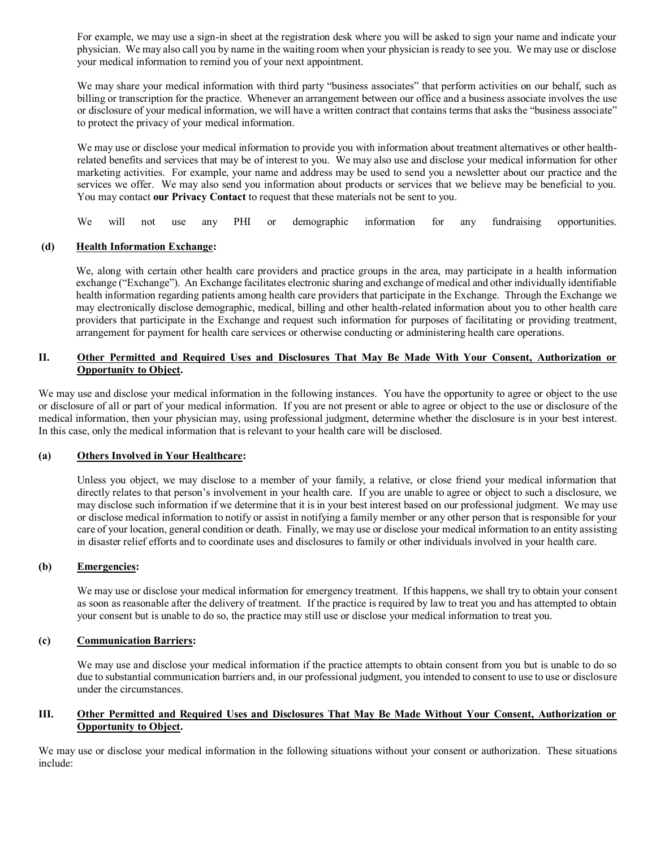For example, we may use a sign-in sheet at the registration desk where you will be asked to sign your name and indicate your physician. We may also call you by name in the waiting room when your physician is ready to see you. We may use or disclose your medical information to remind you of your next appointment.

We may share your medical information with third party "business associates" that perform activities on our behalf, such as billing or transcription for the practice. Whenever an arrangement between our office and a business associate involves the use or disclosure of your medical information, we will have a written contract that contains terms that asks the "business associate" to protect the privacy of your medical information.

We may use or disclose your medical information to provide you with information about treatment alternatives or other healthrelated benefits and services that may be of interest to you. We may also use and disclose your medical information for other marketing activities. For example, your name and address may be used to send you a newsletter about our practice and the services we offer. We may also send you information about products or services that we believe may be beneficial to you. You may contact **our Privacy Contact** to request that these materials not be sent to you.

We will not use any PHI or demographic information for any fundraising opportunities.

### **(d) Health Information Exchange:**

We, along with certain other health care providers and practice groups in the area, may participate in a health information exchange ("Exchange"). An Exchange facilitates electronic sharing and exchange of medical and other individually identifiable health information regarding patients among health care providers that participate in the Exchange. Through the Exchange we may electronically disclose demographic, medical, billing and other health-related information about you to other health care providers that participate in the Exchange and request such information for purposes of facilitating or providing treatment, arrangement for payment for health care services or otherwise conducting or administering health care operations.

# **II. Other Permitted and Required Uses and Disclosures That May Be Made With Your Consent, Authorization or Opportunity to Object.**

We may use and disclose your medical information in the following instances. You have the opportunity to agree or object to the use or disclosure of all or part of your medical information. If you are not present or able to agree or object to the use or disclosure of the medical information, then your physician may, using professional judgment, determine whether the disclosure is in your best interest. In this case, only the medical information that is relevant to your health care will be disclosed.

# **(a) Others Involved in Your Healthcare:**

Unless you object, we may disclose to a member of your family, a relative, or close friend your medical information that directly relates to that person's involvement in your health care. If you are unable to agree or object to such a disclosure, we may disclose such information if we determine that it is in your best interest based on our professional judgment. We may use or disclose medical information to notify or assist in notifying a family member or any other person that is responsible for your care of your location, general condition or death. Finally, we may use or disclose your medical information to an entity assisting in disaster relief efforts and to coordinate uses and disclosures to family or other individuals involved in your health care.

#### **(b) Emergencies:**

We may use or disclose your medical information for emergency treatment. If this happens, we shall try to obtain your consent as soon as reasonable after the delivery of treatment. If the practice is required by law to treat you and has attempted to obtain your consent but is unable to do so, the practice may still use or disclose your medical information to treat you.

#### **(c) Communication Barriers:**

We may use and disclose your medical information if the practice attempts to obtain consent from you but is unable to do so due to substantial communication barriers and, in our professional judgment, you intended to consent to use to use or disclosure under the circumstances.

# **III. Other Permitted and Required Uses and Disclosures That May Be Made Without Your Consent, Authorization or Opportunity to Object.**

We may use or disclose your medical information in the following situations without your consent or authorization. These situations include: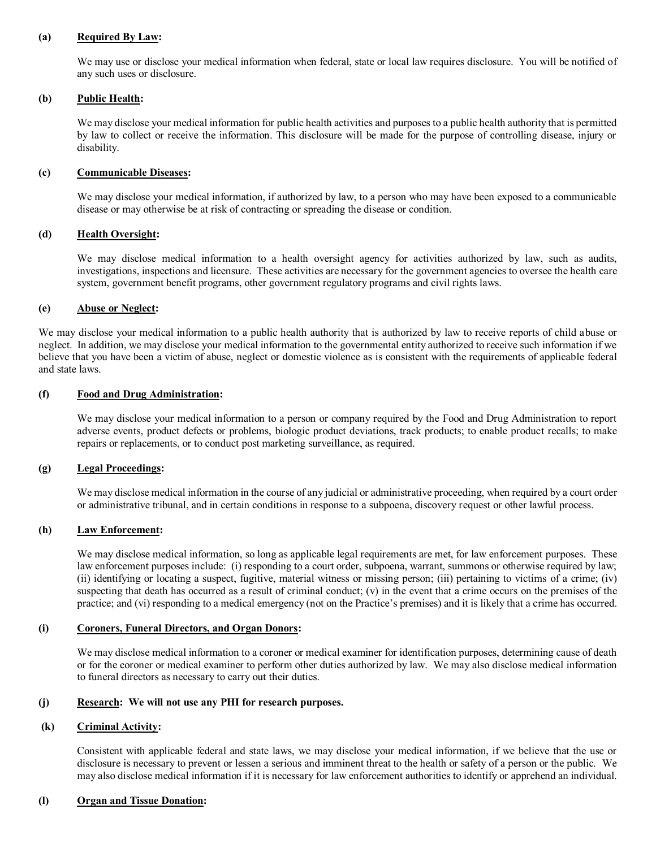### **(a) Required By Law:**

We may use or disclose your medical information when federal, state or local law requires disclosure. You will be notified of any such uses or disclosure.

### **(b) Public Health:**

We may disclose your medical information for public health activities and purposes to a public health authority that is permitted by law to collect or receive the information. This disclosure will be made for the purpose of controlling disease, injury or disability.

### **(c) Communicable Diseases:**

We may disclose your medical information, if authorized by law, to a person who may have been exposed to a communicable disease or may otherwise be at risk of contracting or spreading the disease or condition.

### **(d) Health Oversight:**

We may disclose medical information to a health oversight agency for activities authorized by law, such as audits, investigations, inspections and licensure. These activities are necessary for the government agencies to oversee the health care system, government benefit programs, other government regulatory programs and civil rights laws.

### **(e) Abuse or Neglect:**

We may disclose your medical information to a public health authority that is authorized by law to receive reports of child abuse or neglect. In addition, we may disclose your medical information to the governmental entity authorized to receive such information if we believe that you have been a victim of abuse, neglect or domestic violence as is consistent with the requirements of applicable federal and state laws.

# **(f) Food and Drug Administration:**

We may disclose your medical information to a person or company required by the Food and Drug Administration to report adverse events, product defects or problems, biologic product deviations, track products; to enable product recalls; to make repairs or replacements, or to conduct post marketing surveillance, as required.

# **(g) Legal Proceedings:**

We may disclose medical information in the course of any judicial or administrative proceeding, when required by a court order or administrative tribunal, and in certain conditions in response to a subpoena, discovery request or other lawful process.

# **(h) Law Enforcement:**

We may disclose medical information, so long as applicable legal requirements are met, for law enforcement purposes. These law enforcement purposes include: (i) responding to a court order, subpoena, warrant, summons or otherwise required by law; (ii) identifying or locating a suspect, fugitive, material witness or missing person; (iii) pertaining to victims of a crime; (iv) suspecting that death has occurred as a result of criminal conduct; (v) in the event that a crime occurs on the premises of the practice; and (vi) responding to a medical emergency (not on the Practice's premises) and it is likely that a crime has occurred.

#### **(i) Coroners, Funeral Directors, and Organ Donors:**

We may disclose medical information to a coroner or medical examiner for identification purposes, determining cause of death or for the coroner or medical examiner to perform other duties authorized by law. We may also disclose medical information to funeral directors as necessary to carry out their duties.

### **(j) Research: We will not use any PHI for research purposes.**

# **(k) Criminal Activity:**

Consistent with applicable federal and state laws, we may disclose your medical information, if we believe that the use or disclosure is necessary to prevent or lessen a serious and imminent threat to the health or safety of a person or the public. We may also disclose medical information if it is necessary for law enforcement authorities to identify or apprehend an individual.

# **(l) Organ and Tissue Donation:**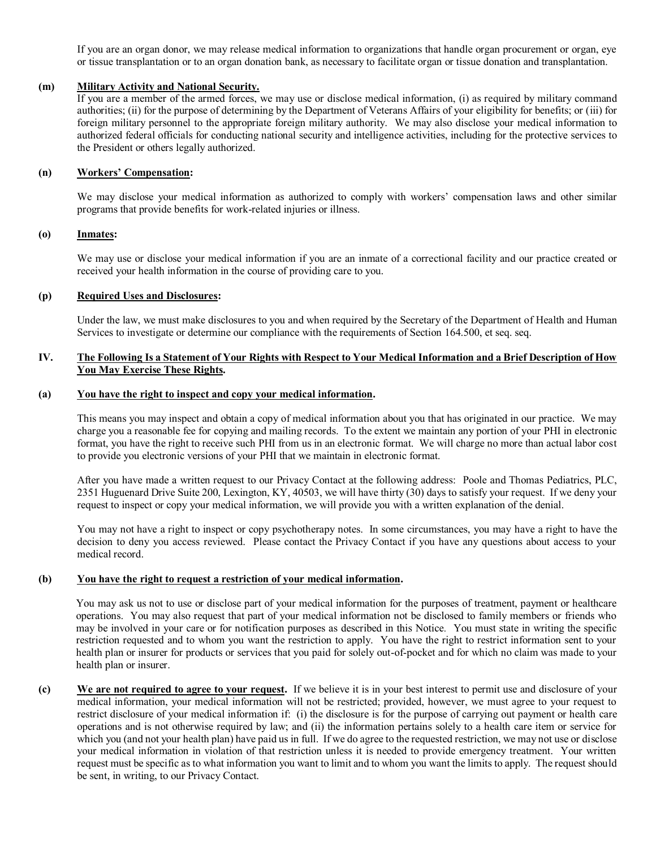If you are an organ donor, we may release medical information to organizations that handle organ procurement or organ, eye or tissue transplantation or to an organ donation bank, as necessary to facilitate organ or tissue donation and transplantation.

### **(m) Military Activity and National Security.**

If you are a member of the armed forces, we may use or disclose medical information, (i) as required by military command authorities; (ii) for the purpose of determining by the Department of Veterans Affairs of your eligibility for benefits; or (iii) for foreign military personnel to the appropriate foreign military authority. We may also disclose your medical information to authorized federal officials for conducting national security and intelligence activities, including for the protective services to the President or others legally authorized.

### **(n) Workers' Compensation:**

We may disclose your medical information as authorized to comply with workers' compensation laws and other similar programs that provide benefits for work-related injuries or illness.

# **(o) Inmates:**

We may use or disclose your medical information if you are an inmate of a correctional facility and our practice created or received your health information in the course of providing care to you.

#### **(p) Required Uses and Disclosures:**

Under the law, we must make disclosures to you and when required by the Secretary of the Department of Health and Human Services to investigate or determine our compliance with the requirements of Section 164.500, et seq. seq.

# **IV. The Following Is a Statement of Your Rights with Respect to Your Medical Information and a Brief Description of How You May Exercise These Rights.**

# **(a) You have the right to inspect and copy your medical information.**

This means you may inspect and obtain a copy of medical information about you that has originated in our practice. We may charge you a reasonable fee for copying and mailing records.To the extent we maintain any portion of your PHI in electronic format, you have the right to receive such PHI from us in an electronic format. We will charge no more than actual labor cost to provide you electronic versions of your PHI that we maintain in electronic format.

After you have made a written request to our Privacy Contact at the following address: Poole and Thomas Pediatrics, PLC, 2351 Huguenard Drive Suite 200, Lexington, KY, 40503, we will have thirty (30) days to satisfy your request. If we deny your request to inspect or copy your medical information, we will provide you with a written explanation of the denial.

You may not have a right to inspect or copy psychotherapy notes. In some circumstances, you may have a right to have the decision to deny you access reviewed. Please contact the Privacy Contact if you have any questions about access to your medical record.

### **(b) You have the right to request a restriction of your medical information.**

You may ask us not to use or disclose part of your medical information for the purposes of treatment, payment or healthcare operations. You may also request that part of your medical information not be disclosed to family members or friends who may be involved in your care or for notification purposes as described in this Notice*.* You must state in writing the specific restriction requested and to whom you want the restriction to apply. You have the right to restrict information sent to your health plan or insurer for products or services that you paid for solely out-of-pocket and for which no claim was made to your health plan or insurer.

**(c) We are not required to agree to your request.** If we believe it is in your best interest to permit use and disclosure of your medical information, your medical information will not be restricted; provided, however, we must agree to your request to restrict disclosure of your medical information if: (i) the disclosure is for the purpose of carrying out payment or health care operations and is not otherwise required by law; and (ii) the information pertains solely to a health care item or service for which you (and not your health plan) have paid us in full. If we do agree to the requested restriction, we may not use or disclose your medical information in violation of that restriction unless it is needed to provide emergency treatment. Your written request must be specific as to what information you want to limit and to whom you want the limits to apply. The request should be sent, in writing, to our Privacy Contact.